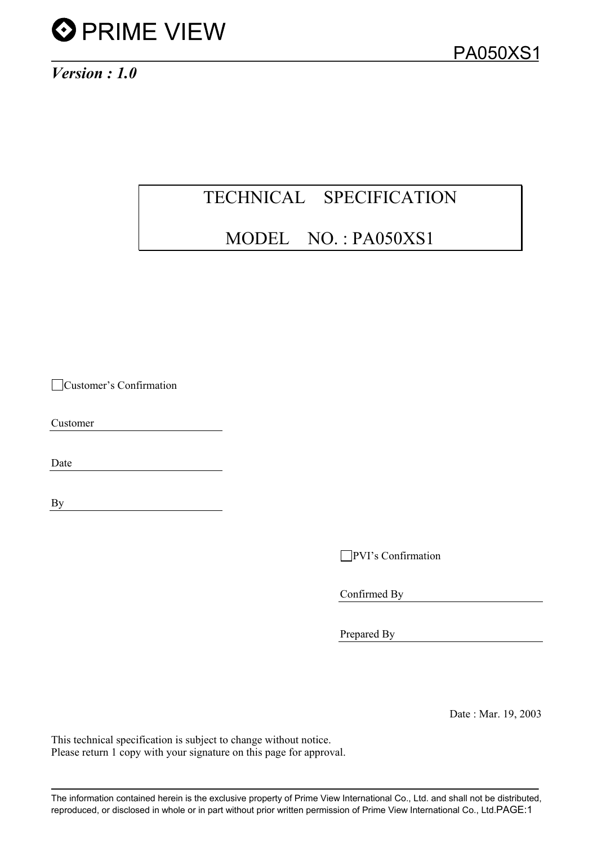

### TECHNICAL SPECIFICATION

### MODEL NO. : PA050XS1

Customer's Confirmation

Customer

Date

By

PVI's Confirmation

Confirmed By

Prepared By

Date : Mar. 19, 2003

This technical specification is subject to change without notice. Please return 1 copy with your signature on this page for approval.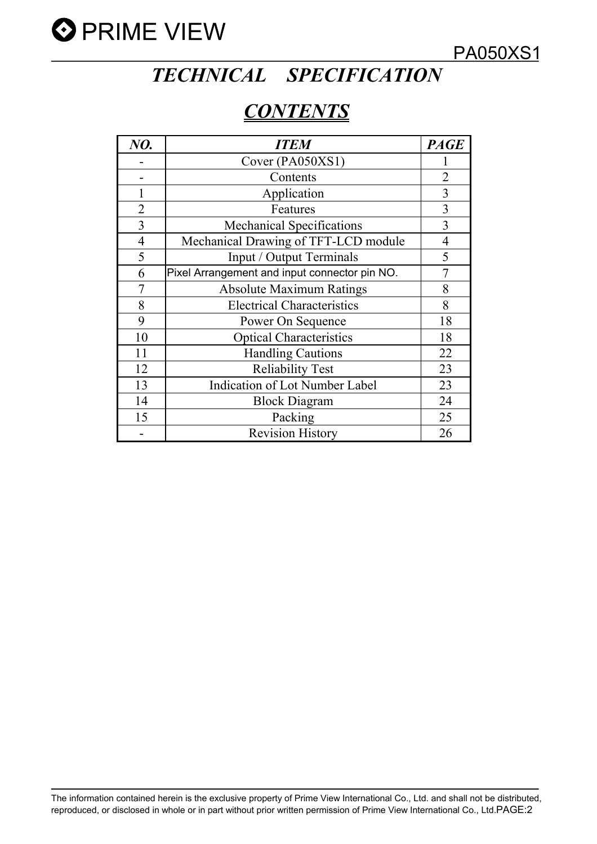

PA050XS1

## *TECHNICAL SPECIFICATION*

### *CONTENTS*

| NO.            | <b>ITEM</b>                                   | <b>PAGE</b>    |
|----------------|-----------------------------------------------|----------------|
|                | Cover (PA050XS1)                              |                |
|                | Contents                                      | $\overline{2}$ |
| 1              | Application                                   | $\overline{3}$ |
| $\overline{2}$ | Features                                      | $\overline{3}$ |
| 3              | <b>Mechanical Specifications</b>              | 3              |
| $\overline{4}$ | Mechanical Drawing of TFT-LCD module          | 4              |
| 5              | Input / Output Terminals                      | 5              |
| 6              | Pixel Arrangement and input connector pin NO. |                |
|                | <b>Absolute Maximum Ratings</b>               | 8              |
| 8              | <b>Electrical Characteristics</b>             | 8              |
| 9              | Power On Sequence                             | 18             |
| 10             | <b>Optical Characteristics</b>                | 18             |
| 11             | <b>Handling Cautions</b>                      | 22             |
| 12             | <b>Reliability Test</b>                       | 23             |
| 13             | <b>Indication of Lot Number Label</b>         | 23             |
| 14             | <b>Block Diagram</b>                          | 24             |
| 15             | Packing                                       | 25             |
|                | <b>Revision History</b>                       | 26             |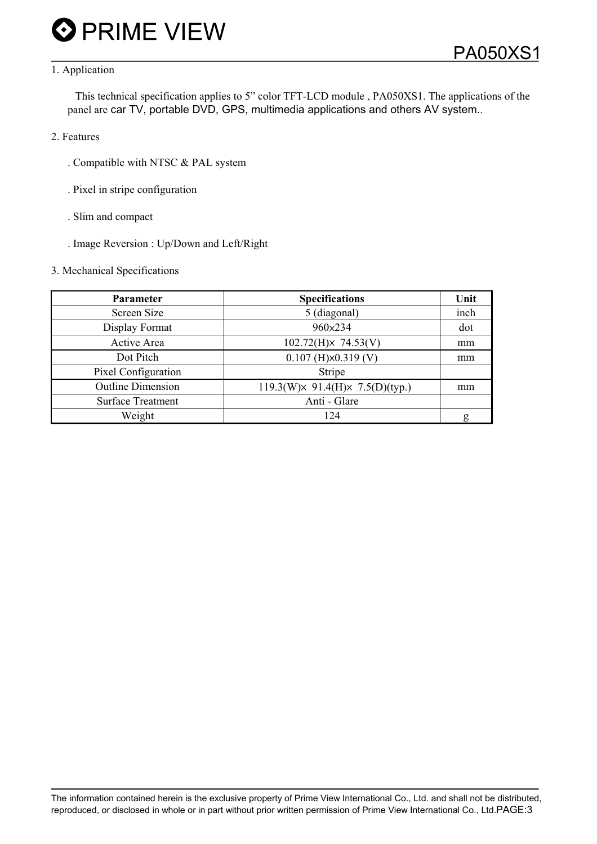#### 1. Application

 This technical specification applies to 5" color TFT-LCD module , PA050XS1. The applications of the panel are car TV, portable DVD, GPS, multimedia applications and others AV system..

- 2. Features
	- . Compatible with NTSC & PAL system
	- . Pixel in stripe configuration
	- . Slim and compact
	- . Image Reversion : Up/Down and Left/Right

#### 3. Mechanical Specifications

| Parameter                | <b>Specifications</b>             | Unit |
|--------------------------|-----------------------------------|------|
| Screen Size              | 5 (diagonal)                      | inch |
| Display Format           | 960×234                           | dot  |
| Active Area              | $102.72(H) \times 74.53(V)$       | mm   |
| Dot Pitch                | $0.107$ (H) $\times$ 0.319 (V)    | mm   |
| Pixel Configuration      | Stripe                            |      |
| <b>Outline Dimension</b> | 119.3(W) × 91.4(H) × 7.5(D)(typ.) | mm   |
| <b>Surface Treatment</b> | Anti - Glare                      |      |
| Weight                   | 124                               | g    |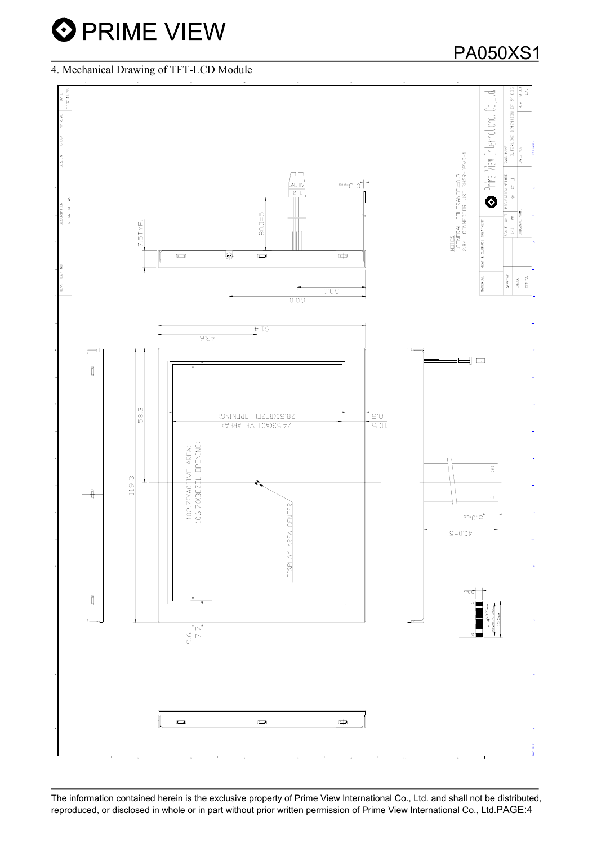4. Mechanical Drawing of TFT-LCD Module

### PA050XS1

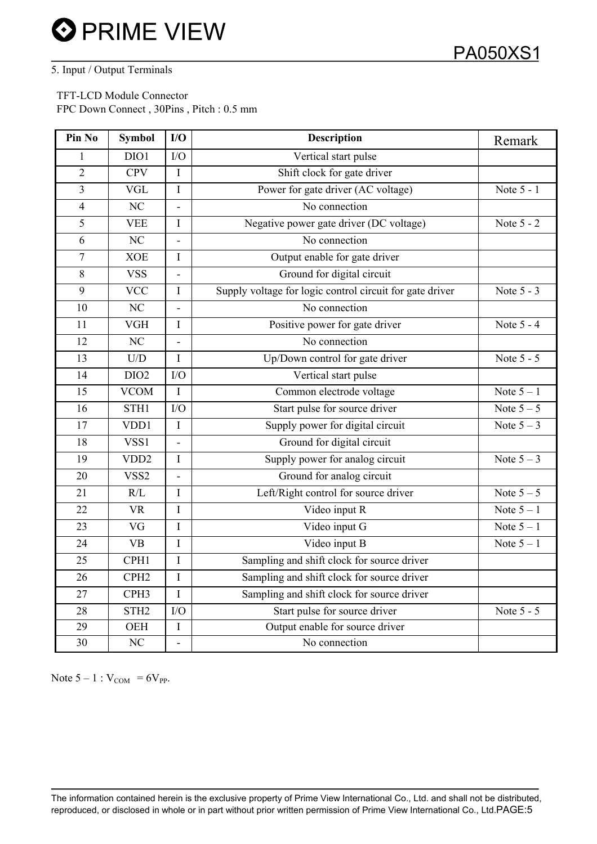#### 5. Input / Output Terminals

 TFT-LCD Module Connector FPC Down Connect , 30Pins , Pitch : 0.5 mm

| Pin No         | <b>Symbol</b>           | I/O                      | <b>Description</b>                                       | Remark       |
|----------------|-------------------------|--------------------------|----------------------------------------------------------|--------------|
| 1              | DIO1                    | I/O                      | Vertical start pulse                                     |              |
| $\overline{2}$ | <b>CPV</b>              | $\bf I$                  | Shift clock for gate driver                              |              |
| 3              | <b>VGL</b>              | $\mathbf I$              | Power for gate driver (AC voltage)                       | Note 5 - 1   |
| $\overline{4}$ | N <sub>C</sub>          | $\overline{\phantom{a}}$ | No connection                                            |              |
| 5              | <b>VEE</b>              | I                        | Negative power gate driver (DC voltage)                  | Note 5 - 2   |
| 6              | $\overline{\text{NC}}$  |                          | No connection                                            |              |
| $\overline{7}$ | <b>XOE</b>              | $\bf I$                  | Output enable for gate driver                            |              |
| 8              | <b>VSS</b>              | $\blacksquare$           | Ground for digital circuit                               |              |
| 9              | <b>VCC</b>              | I                        | Supply voltage for logic control circuit for gate driver | Note 5 - 3   |
| 10             | NC                      | $\blacksquare$           | No connection                                            |              |
| 11             | $\overline{\text{VGH}}$ | $\bf{I}$                 | Positive power for gate driver                           | Note 5 - 4   |
| 12             | NC                      | $\blacksquare$           | No connection                                            |              |
| 13             | U/D                     | I                        | Up/Down control for gate driver                          | Note 5 - 5   |
| 14             | DIO <sub>2</sub>        | ${\rm I/O}$              | Vertical start pulse                                     |              |
| 15             | <b>VCOM</b>             | I                        | Common electrode voltage                                 | Note $5-1$   |
| 16             | STH1                    | I/O                      | Start pulse for source driver                            | Note $5-5$   |
| 17             | VDD1                    | $\bf I$                  | Supply power for digital circuit                         | Note $5-3$   |
| 18             | VSS <sub>1</sub>        | $\overline{\phantom{a}}$ | Ground for digital circuit                               |              |
| 19             | VDD <sub>2</sub>        | $\mathbf I$              | Supply power for analog circuit                          | Note $5-3$   |
| 20             | VSS <sub>2</sub>        | $\blacksquare$           | Ground for analog circuit                                |              |
| 21             | R/L                     | $\rm I$                  | Left/Right control for source driver                     | Note $5-5$   |
| 22             | <b>VR</b>               | $\bf I$                  | Video input R                                            | Note $5 - 1$ |
| 23             | VG                      | $\mathbf I$              | Video input G                                            | Note $5-1$   |
| 24             | <b>VB</b>               | I                        | Video input B                                            | Note $5 - 1$ |
| 25             | CPH1                    | $\mathbf I$              | Sampling and shift clock for source driver               |              |
| 26             | CPH <sub>2</sub>        | $\rm I$                  | Sampling and shift clock for source driver               |              |
| 27             | CPH <sub>3</sub>        | $\mathbf I$              | Sampling and shift clock for source driver               |              |
| 28             | STH <sub>2</sub>        | I/O                      | Start pulse for source driver                            | Note 5 - 5   |
| 29             | <b>OEH</b>              | $\mathbf I$              | Output enable for source driver                          |              |
| 30             | NC                      | $\overline{\phantom{a}}$ | No connection                                            |              |

Note  $5 - 1$  :  $V_{COM} = 6V_{PP}$ .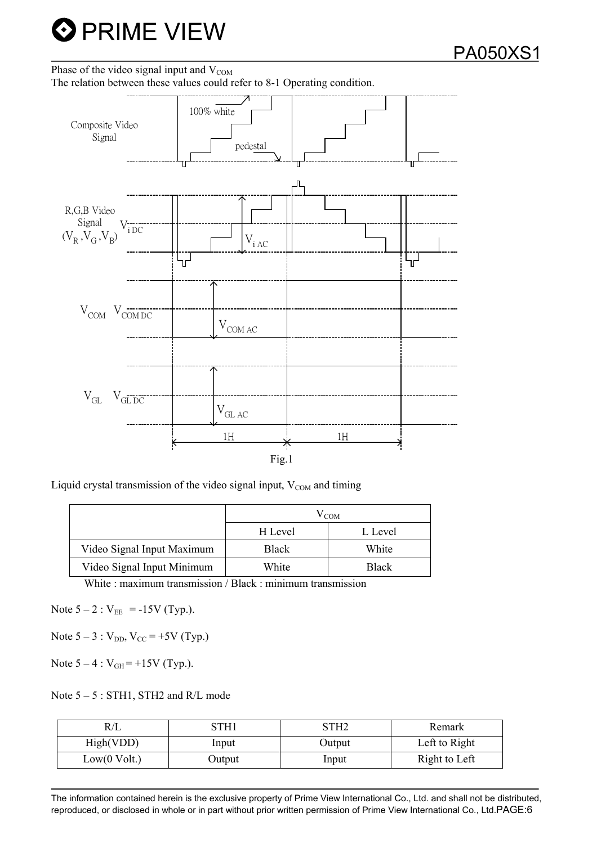

#### Phase of the video signal input and  $V_{COM}$

The relation between these values could refer to 8-1 Operating condition.



Liquid crystal transmission of the video signal input,  $V_{COM}$  and timing

| $V_{COM}$ |              |  |  |  |
|-----------|--------------|--|--|--|
| H Level   | L Level      |  |  |  |
| Black     | White        |  |  |  |
| White     | <b>Black</b> |  |  |  |
|           |              |  |  |  |

White : maximum transmission / Black : minimum transmission

Note  $5 - 2$ :  $V_{EE} = -15V$  (Typ.).

Note  $5 - 3$ :  $V_{DD}$ ,  $V_{CC} = +5V$  (Typ.)

Note  $5 - 4$  :  $V_{GH} = +15V$  (Typ.).

Note  $5 - 5$ : STH1, STH2 and R/L mode

| K/L          | TH1    | STH2   | Remark        |
|--------------|--------|--------|---------------|
| High(VDD)    | Input  | Output | Left to Right |
| Low(0 Volt.) | Output | Input  | Right to Left |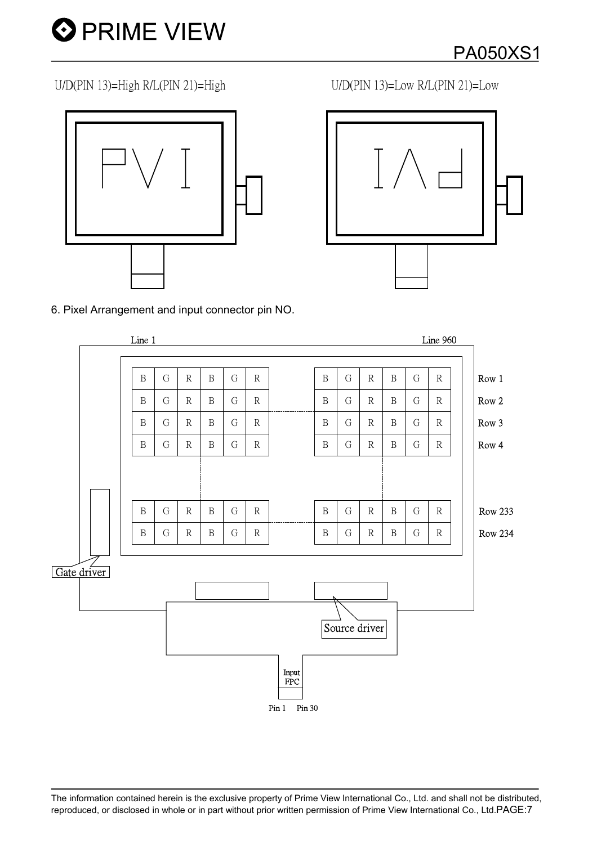

U/D(PIN 13)=High R/L(PIN 21)=High<br>
U/D(PIN 13)=Low R/L(PIN 21)=Low



6. Pixel Arrangement and input connector pin NO.

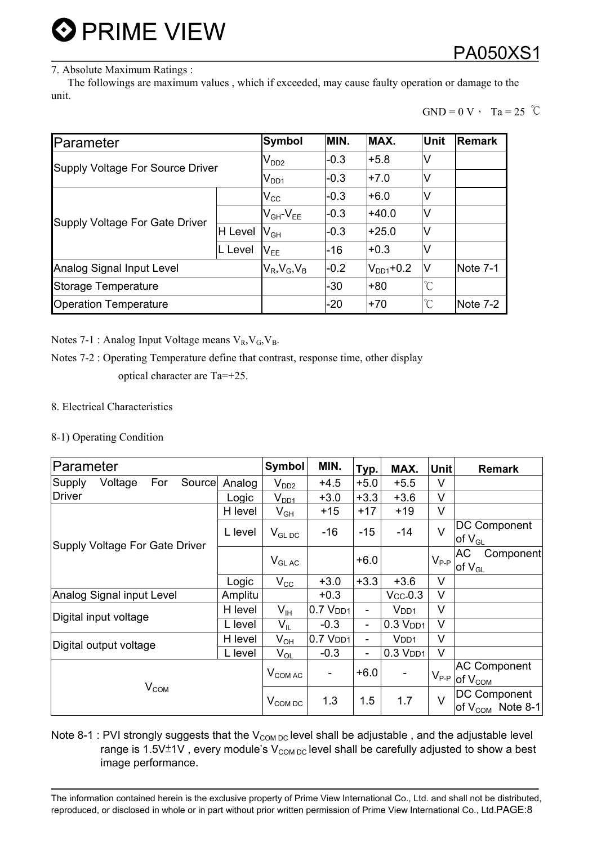#### 7. Absolute Maximum Ratings :

 The followings are maximum values , which if exceeded, may cause faulty operation or damage to the unit.

$$
GND = 0 V \cdot Ta = 25 \ ^{\circ}C
$$

| Parameter                        | <b>Symbol</b>  | MIN.                       | MAX.   | <b>Unit</b>          | <b>Remark</b> |          |
|----------------------------------|----------------|----------------------------|--------|----------------------|---------------|----------|
| Supply Voltage For Source Driver | $V_{DD2}$      | $-0.3$                     | $+5.8$ | V                    |               |          |
|                                  | $V_{DD1}$      | $-0.3$                     | $+7.0$ | v                    |               |          |
| Supply Voltage For Gate Driver   |                | $V_{\rm CC}$               | $-0.3$ | $+6.0$               | v             |          |
|                                  |                | $V_{GH}$ - $V_{EE}$        | $-0.3$ | $+40.0$              | V             |          |
|                                  | <b>H</b> Level | $\mathsf{V}_{\mathsf{GH}}$ | $-0.3$ | $+25.0$              | V             |          |
|                                  | L Level        | $V_{FF}$                   | $-16$  | $+0.3$               | V             |          |
| Analog Signal Input Level        |                | $V_R$ , $V_G$ , $V_B$      | $-0.2$ | $V_{DD1}$ +0.2       | IV            | Note 7-1 |
| Storage Temperature              |                | $-30$                      | $+80$  | $\mathrm{C}^{\circ}$ |               |          |
| <b>Operation Temperature</b>     |                |                            | $-20$  | $+70$                | $^{\circ}C$   | Note 7-2 |

Notes 7-1 : Analog Input Voltage means  $V_R$ ,  $V_G$ ,  $V_B$ .

#### Notes 7-2 : Operating Temperature define that contrast, response time, other display optical character are Ta=+25.

8. Electrical Characteristics

#### 8-1) Operating Condition

| Parameter                          | <b>Symbol</b> | MIN.                       | Typ.                 | MAX.   | <b>Unit</b>              | <b>Remark</b>                                                 |                                                  |
|------------------------------------|---------------|----------------------------|----------------------|--------|--------------------------|---------------------------------------------------------------|--------------------------------------------------|
| Supply<br>Voltage<br>For<br>Source | Analog        | $\rm V_{DD2}$              | $+4.5$               | $+5.0$ | $+5.5$                   | V                                                             |                                                  |
| <b>Driver</b>                      | Logic         | $V_{DD1}$                  | $+3.0$               | $+3.3$ | $+3.6$                   | V                                                             |                                                  |
|                                    | H level       | $V_{GH}$                   | $+15$                | $+17$  | $+19$                    | V                                                             |                                                  |
| Supply Voltage For Gate Driver     | L level       | $V_{GL,DC}$                | $-16$                | $-15$  | $-14$                    | V                                                             | <b>DC Component</b><br>$of V_{GL}$               |
|                                    |               | $V_{GLAC}$                 |                      | $+6.0$ |                          | $V_{P-P}$                                                     | АC<br>Component<br>of $\mathsf{V}_{\mathsf{GL}}$ |
|                                    | Logic         | $V_{\rm CC}$               | $+3.0$               | $+3.3$ | $+3.6$                   | V                                                             |                                                  |
| Analog Signal input Level          | Amplitu       |                            | $+0.3$               |        | $Vcc-0.3$                | V                                                             |                                                  |
| Digital input voltage              | H level       | $V_{IH}$                   | $0.7$ $VDD1$         | -      | V <sub>DD1</sub>         | V                                                             |                                                  |
|                                    | L level       | $\mathsf{V}_{\mathsf{IL}}$ | $-0.3$               | Ξ.     | $0.3$ $VDD1$             | $\vee$                                                        |                                                  |
| Digital output voltage             | H level       | $V_{OH}$                   | 0.7 V <sub>DD1</sub> |        | V <sub>DD1</sub>         | $\vee$                                                        |                                                  |
|                                    | L level       | $V_{OL}$                   | $-0.3$               | -      | $0.3$ $V$ <sub>DD1</sub> | $\vee$                                                        |                                                  |
|                                    | $V_{COMAC}$   | -                          | $+6.0$               |        |                          | <b>AC Component</b><br>$V_{P-P}$ of $V_{C\underline{OM}}$     |                                                  |
| V <sub>COM</sub>                   | $V_{COM\,DC}$ | 1.3                        | 1.5                  | 1.7    | $\vee$                   | <b>DC Component</b><br> of V $_{\texttt{COM}}\,$ Note 8-1 $ $ |                                                  |

Note 8-1 : PVI strongly suggests that the  $V_{COM\,DC}$  level shall be adjustable, and the adjustable level range is 1.5V $\pm$ 1V, every module's V<sub>COM DC</sub> level shall be carefully adjusted to show a best image performance.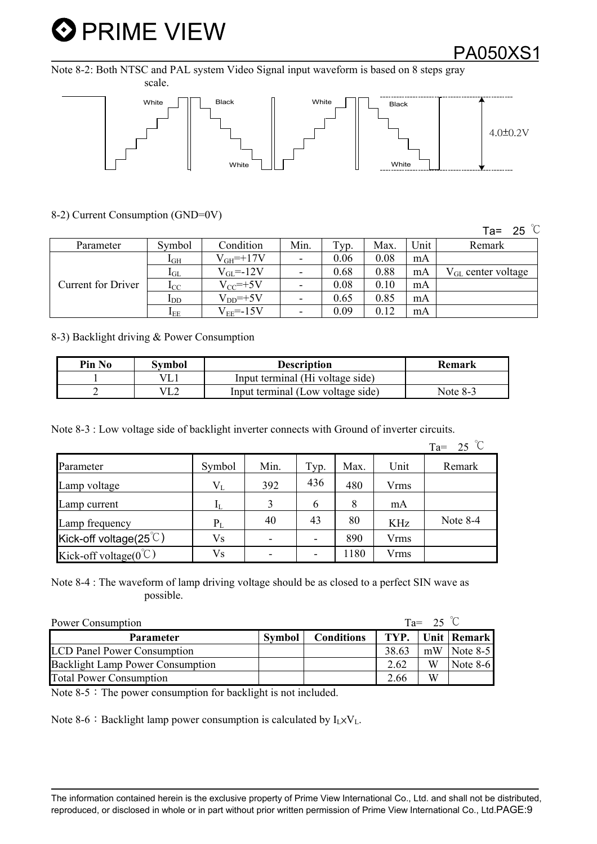### PA050XS1

Note 8-2: Both NTSC and PAL system Video Signal input waveform is based on 8 steps gray



8-2) Current Consumption (GND=0V)

Ta= 25  $\degree$ C

| Parameter                 | Symbol          | Condition       | Min.                     | Typ. | Max. | Unit | Remark                         |
|---------------------------|-----------------|-----------------|--------------------------|------|------|------|--------------------------------|
| <b>Current for Driver</b> | $1\text{GH}$    | $V_{GH}$ =+17V  | $\overline{\phantom{a}}$ | 0.06 | 0.08 | mA   |                                |
|                           | $1_{GL}$        | $V_{GL} = -12V$ | $\overline{\phantom{a}}$ | 0.68 | 0.88 | mA   | $V_{\text{GL}}$ center voltage |
|                           | $_{\rm{LC}}$    | $V_{CC}$ =+5V   | $\overline{\phantom{a}}$ | 0.08 | 0.10 | mA   |                                |
|                           | $_{\text{1DD}}$ | $V_{DD}$ =+5V   | $\overline{\phantom{a}}$ | 0.65 | 0.85 | mA   |                                |
|                           | $I_{EE}$        | $V_{EF} = -15V$ | -                        | 0.09 | 0.12 | mA   |                                |

8-3) Backlight driving & Power Consumption

| Pin No | Svmbol | <b>Description</b>                | Remark     |
|--------|--------|-----------------------------------|------------|
|        | VL.    | Input terminal (Hi voltage side)  |            |
|        | VL2    | Input terminal (Low voltage side) | Note $8-3$ |

Note 8-3 : Low voltage side of backlight inverter connects with Ground of inverter circuits.

|                                    |                |                          |      |      |             | $Ta = 25$ °C |
|------------------------------------|----------------|--------------------------|------|------|-------------|--------------|
| Parameter                          | Symbol         | Min.                     | Typ. | Max. | Unit        | Remark       |
| Lamp voltage                       | $V_{L}$        | 392                      | 436  | 480  | <b>Vrms</b> |              |
| Lamp current                       | IL             | 3                        | 6    | 8    | mA          |              |
| Lamp frequency                     | $P_L$          | 40                       | 43   | 80   | <b>KHz</b>  | Note $8-4$   |
| Kick-off voltage(25 $\degree$ C)   | V <sub>S</sub> | $\overline{\phantom{a}}$ |      | 890  | Vrms        |              |
| Kick-off voltage( $0^{\degree}$ C) | V <sub>S</sub> | $\overline{\phantom{0}}$ |      | 1180 | <b>Vrms</b> |              |

Note 8-4 : The waveform of lamp driving voltage should be as closed to a perfect SIN wave as possible.

| $Ta =$<br>Power Consumption             |               |                   |       |    |               |  |
|-----------------------------------------|---------------|-------------------|-------|----|---------------|--|
| <b>Parameter</b>                        | <b>Symbol</b> | <b>Conditions</b> | TYP.  |    | Unit   Remark |  |
| <b>LCD Panel Power Consumption</b>      |               |                   | 38.63 | mW | Note $8-5$    |  |
| <b>Backlight Lamp Power Consumption</b> |               |                   | 2.62  | W  | Note $8-6$    |  |
| <b>Total Power Consumption</b>          |               |                   | 2.66  | W  |               |  |

Note  $8-5$ : The power consumption for backlight is not included.

Note 8-6 : Backlight lamp power consumption is calculated by  $I_1 \times V_1$ .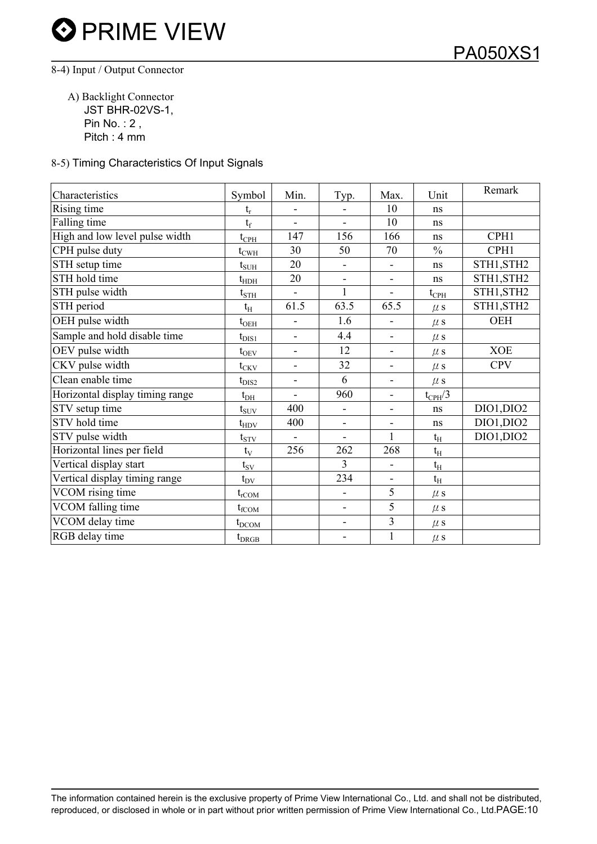#### 8-4) Input / Output Connector

 A) Backlight Connector JST BHR-02VS-1, Pin No. : 2 , Pitch : 4 mm

#### 8-5) Timing Characteristics Of Input Signals

| Characteristics                 | Symbol                | Min.                     | Typ.                     | Max.                     | Unit            | Remark     |
|---------------------------------|-----------------------|--------------------------|--------------------------|--------------------------|-----------------|------------|
| Rising time                     | $t_r$                 |                          |                          | 10                       | ns              |            |
| Falling time                    | $t_f$                 | $\overline{a}$           | $\frac{1}{2}$            | 10                       | ns              |            |
| High and low level pulse width  | $t_{\rm{CPH}}$        | 147                      | 156                      | 166                      | ns              | CPH1       |
| CPH pulse duty                  | $t_{C\underline{WH}}$ | 30                       | 50                       | 70                       | $\frac{0}{0}$   | CPH1       |
| STH setup time                  | $t_{\text{SUH}}$      | 20                       | $\overline{\phantom{0}}$ | $\overline{\phantom{a}}$ | ns              | STH1, STH2 |
| STH hold time                   | $t_{\text{HDH}}$      | 20                       | $\blacksquare$           | $\overline{\phantom{a}}$ | ns              | STH1, STH2 |
| STH pulse width                 | $t_{\rm STH}$         |                          | $\mathbf{1}$             | $\overline{\phantom{a}}$ | $t_{\rm{CPH}}$  | STH1, STH2 |
| STH period                      | $t_{\rm H}$           | 61.5                     | 63.5                     | 65.5                     | $\mu$ s         | STH1, STH2 |
| OEH pulse width                 | $t_{\rm OEH}$         | $\overline{a}$           | 1.6                      | $\blacksquare$           | $\mu$ s         | OEH        |
| Sample and hold disable time    | $t_{\rm DIS1}$        | $\overline{a}$           | 4.4                      | -                        | $\mu$ s         |            |
| OEV pulse width                 | $t_{\rm OEV}$         | $\overline{\phantom{a}}$ | 12                       | $\overline{\phantom{0}}$ | $\mu$ s         | <b>XOE</b> |
| CKV pulse width                 | $t_{CKV}$             | $\blacksquare$           | 32                       | $\overline{\phantom{a}}$ | $\mu$ s         | <b>CPV</b> |
| Clean enable time               | $t_{\rm DIS2}$        | $\overline{\phantom{0}}$ | 6                        | $\overline{\phantom{a}}$ | $\mu$ s         |            |
| Horizontal display timing range | $t_{DH}$              | $\overline{a}$           | 960                      | $\overline{\phantom{a}}$ | $t_{\rm CPH}/3$ |            |
| STV setup time                  | $t_{\rm{SUV}}$        | 400                      | $\blacksquare$           | ۰                        | ns              | DIO1, DIO2 |
| STV hold time                   | $t_{HDV}$             | 400                      | $\overline{\phantom{a}}$ | $\overline{\phantom{a}}$ | ns              | DIO1, DIO2 |
| STV pulse width                 | $t_{STV}$             | $\blacksquare$           | $\blacksquare$           | $\mathbf{1}$             | $t_{\rm H}$     | DIO1, DIO2 |
| Horizontal lines per field      | $t_V$                 | 256                      | 262                      | 268                      | $t_{\rm H}$     |            |
| Vertical display start          | $t_{SV}$              |                          | 3                        | $\overline{\phantom{a}}$ | $t_{\rm H}$     |            |
| Vertical display timing range   | $t_{\rm DV}$          |                          | 234                      | -                        | $t_{\rm H}$     |            |
| VCOM rising time                | $t_{rCOM}$            |                          | $\overline{\phantom{a}}$ | 5                        | $\mu$ s         |            |
| VCOM falling time               | $t_{fCOM}$            |                          | $\blacksquare$           | 5                        | $\mu$ s         |            |
| VCOM delay time                 | $t_{\text{DCOM}}$     |                          | $\blacksquare$           | 3                        | $\mu$ s         |            |
| RGB delay time                  | $t_{DRGB}$            |                          |                          | $\mathbf{1}$             | $\mu$ s         |            |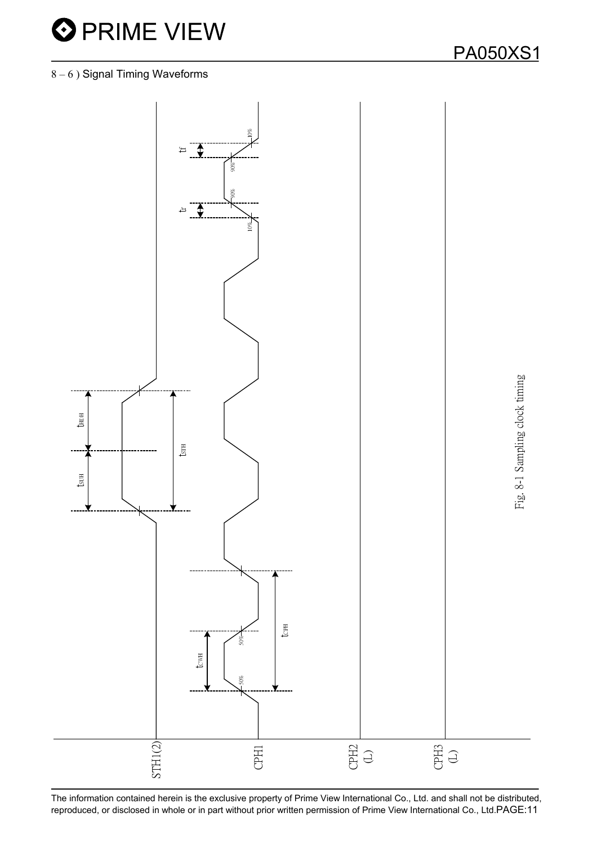

#### 8 – 6 ) Signal Timing Waveforms

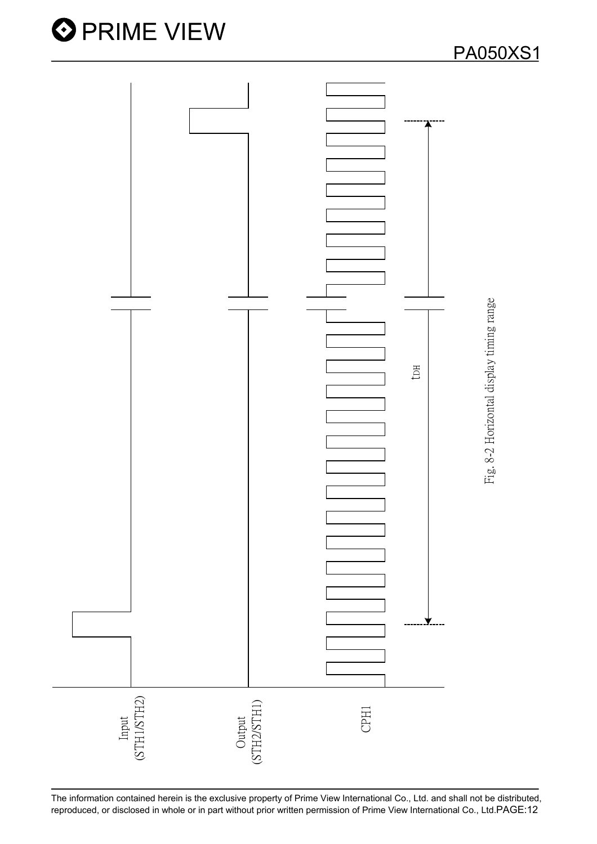

The information contained herein is the exclusive property of Prime View International Co., Ltd. and shall not be distributed,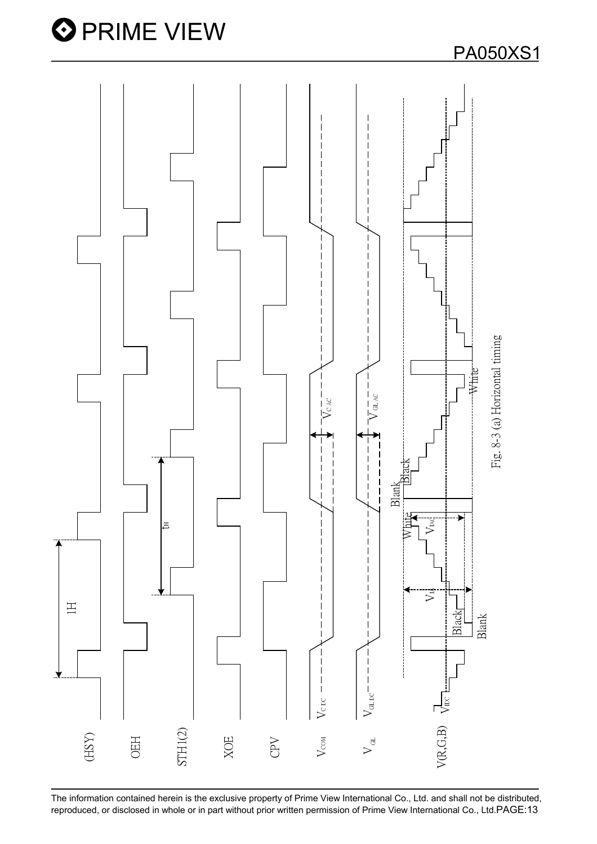

The information contained herein is the exclusive property of Prime View International Co., Ltd. and shall not be distributed,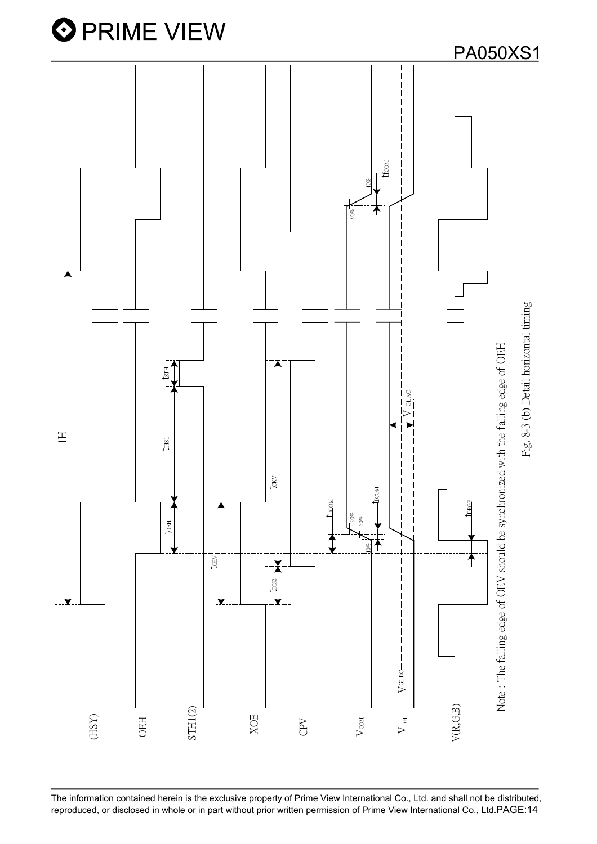

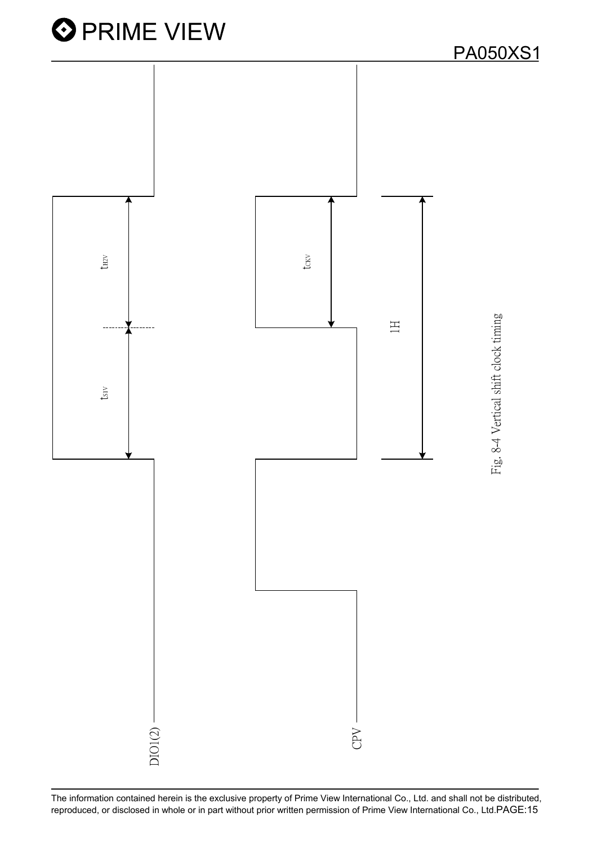

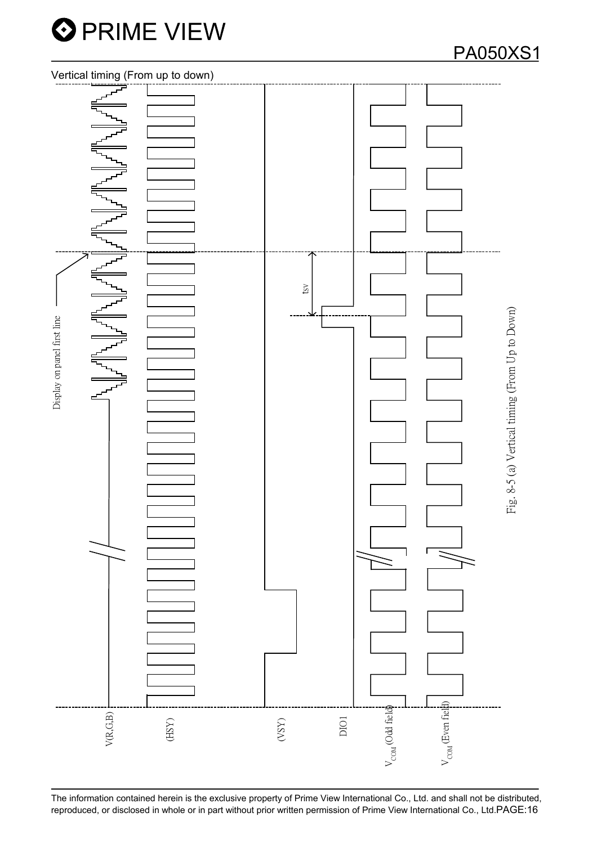

### PA050XS1

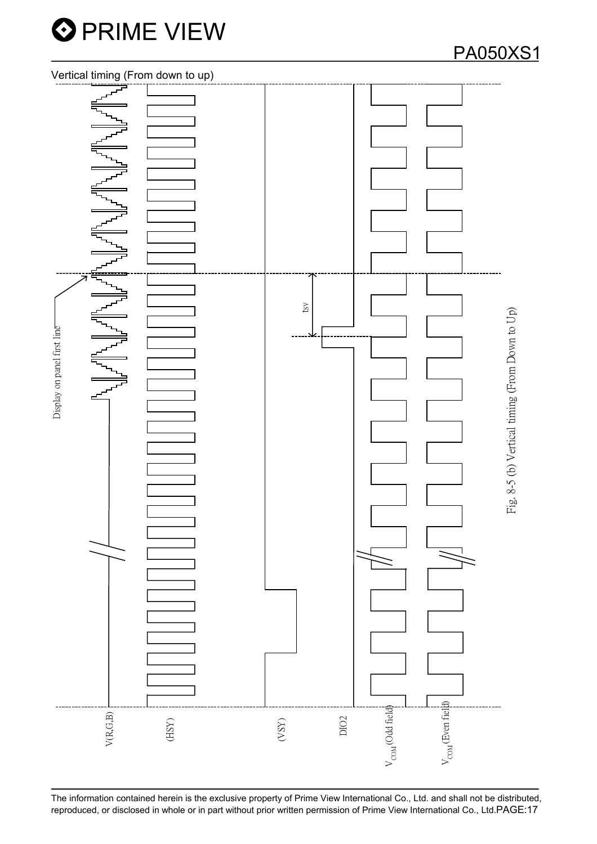

PA050XS1

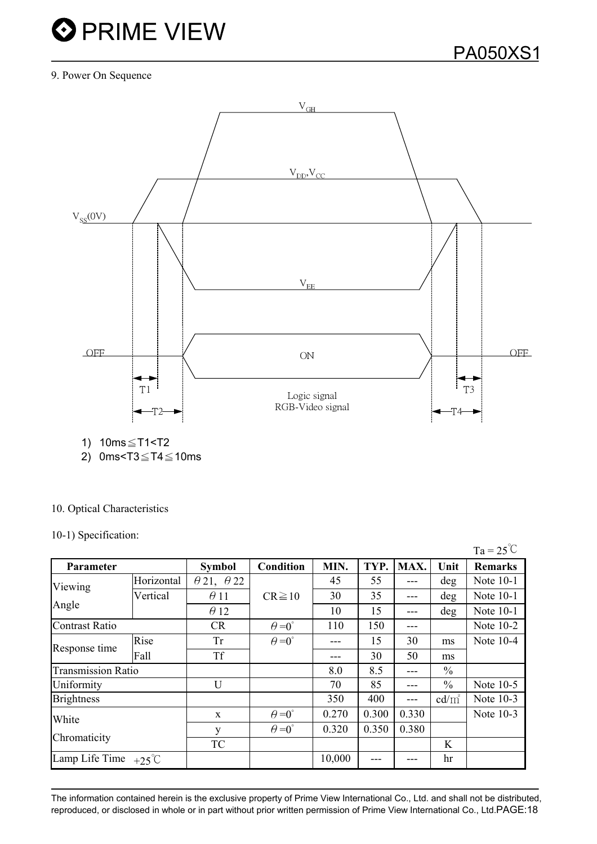#### 9. Power On Sequence



1) 10ms≤T1<T2

2) 0ms<T3 $\leq$ T4 $\leq$ 10ms

#### 10. Optical Characteristics

#### 10-1) Specification:

|                                |            |                          |                      |        |       |       |                 | $Ta = 25^{\circ}C$ |
|--------------------------------|------------|--------------------------|----------------------|--------|-------|-------|-----------------|--------------------|
| Parameter                      |            | <b>Symbol</b>            | <b>Condition</b>     | MIN.   | TYP.  | MAX.  | Unit            | <b>Remarks</b>     |
| Viewing<br>Angle               | Horizontal | $\theta$ 21, $\theta$ 22 |                      | 45     | 55    |       | deg             | Note 10-1          |
|                                | Vertical   | $\theta$ 11              | $CR \ge 10$          | 30     | 35    |       | deg             | Note 10-1          |
|                                |            | $\theta$ 12              |                      | 10     | 15    |       | deg             | Note 10-1          |
| <b>Contrast Ratio</b>          |            | <b>CR</b>                | $\theta = 0^{\circ}$ | 110    | 150   |       |                 | Note 10-2          |
|                                | Rise       | Tr                       | $\theta = 0^{\circ}$ |        | 15    | 30    | ms              | Note $10-4$        |
| Response time                  | Fall       | Tf                       |                      |        | 30    | 50    | ms              |                    |
| <b>Transmission Ratio</b>      |            |                          |                      | 8.0    | 8.5   | ---   | $\frac{0}{0}$   |                    |
| Uniformity                     |            | U                        |                      | 70     | 85    |       | $\frac{0}{0}$   | Note 10-5          |
| <b>Brightness</b>              |            |                          |                      | 350    | 400   |       | $\text{cd/m}^2$ | Note 10-3          |
| White                          |            | X                        | $\theta = 0^{\circ}$ | 0.270  | 0.300 | 0.330 |                 | Note 10-3          |
|                                |            | y                        | $\theta = 0^{\circ}$ | 0.320  | 0.350 | 0.380 |                 |                    |
| Chromaticity                   |            | TC                       |                      |        |       |       | K               |                    |
| Lamp Life Time $+25^{\circ}$ C |            |                          |                      | 10,000 |       |       | hr              |                    |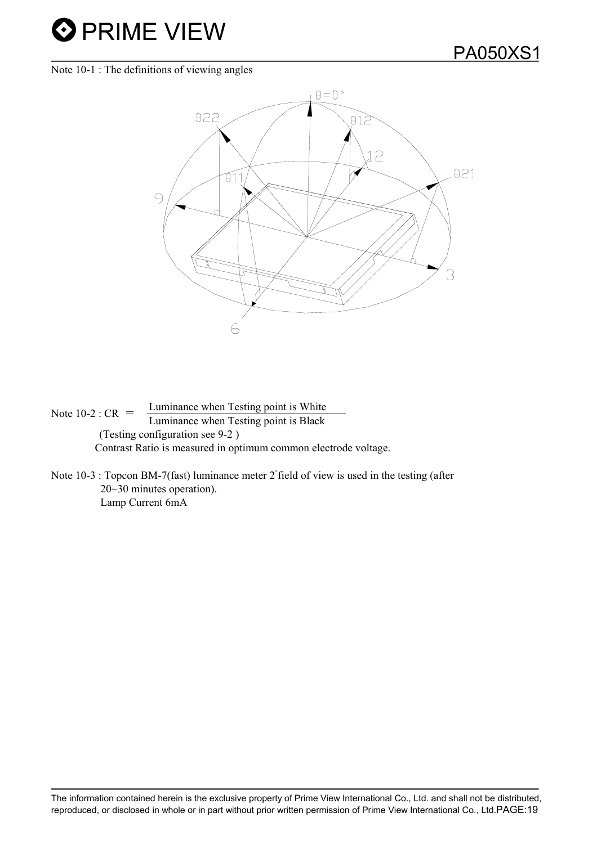Note 10-1 : The definitions of viewing angles



Note 10-2 :  $CR =$  Luminance when Testing point is White Luminance when Testing point is Black (Testing configuration see 9-2 ) Contrast Ratio is measured in optimum common electrode voltage.

Note 10-3 : Topcon BM-7(fast) luminance meter 2°field of view is used in the testing (after 20~30 minutes operation). Lamp Current 6mA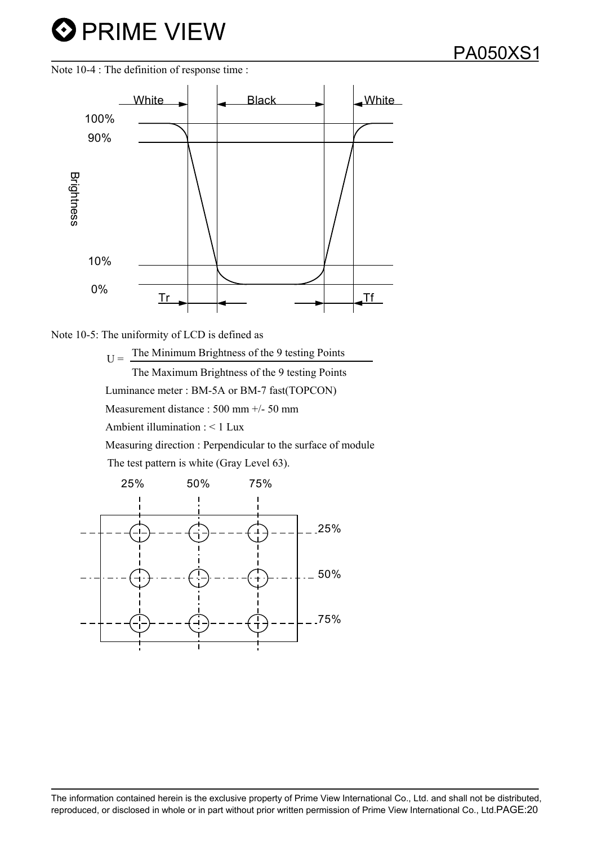



 $U =$  The Minimum Brightness of the 9 testing Points

The Maximum Brightness of the 9 testing Points

Luminance meter : BM-5A or BM-7 fast(TOPCON)

Measurement distance : 500 mm +/- 50 mm

Ambient illumination : < 1 Lux

Measuring direction : Perpendicular to the surface of module

The test pattern is white (Gray Level 63).

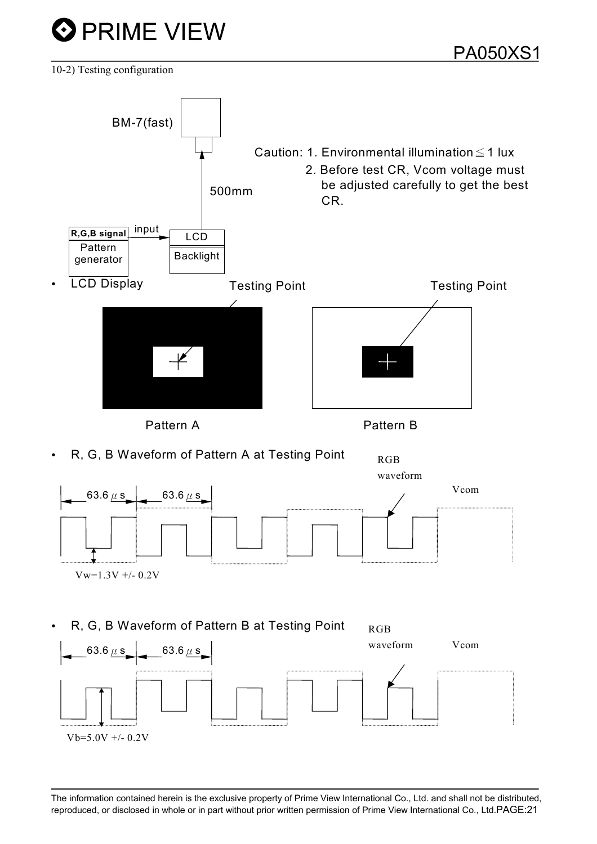

10-2) Testing configuration

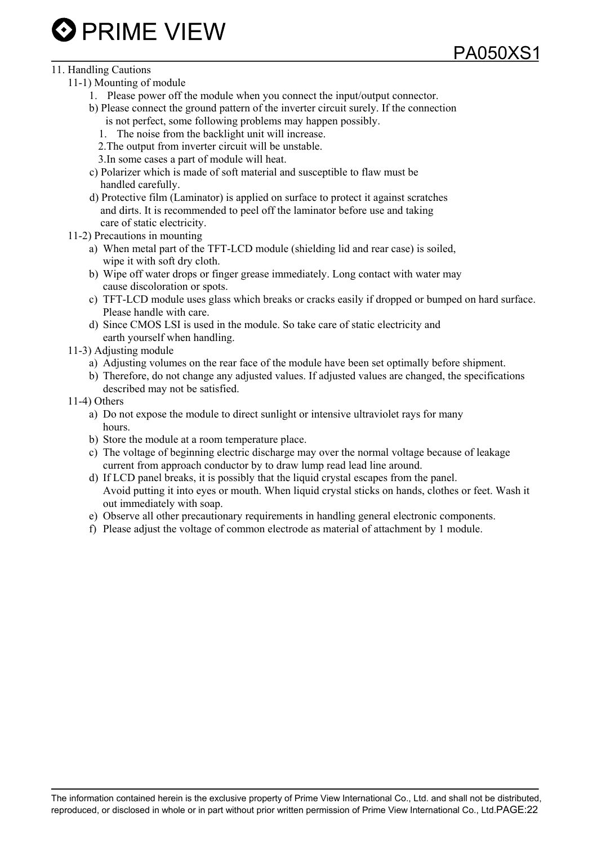

#### 11. Handling Cautions

- 11-1) Mounting of module
	- 1. Please power off the module when you connect the input/output connector.
	- b) Please connect the ground pattern of the inverter circuit surely. If the connection is not perfect, some following problems may happen possibly.
		- 1. The noise from the backlight unit will increase.
		- 2.The output from inverter circuit will be unstable.
		- 3.In some cases a part of module will heat.
	- c) Polarizer which is made of soft material and susceptible to flaw must be handled carefully.
	- d) Protective film (Laminator) is applied on surface to protect it against scratches and dirts. It is recommended to peel off the laminator before use and taking care of static electricity.
- 11-2) Precautions in mounting
	- a) When metal part of the TFT-LCD module (shielding lid and rear case) is soiled, wipe it with soft dry cloth.
	- b) Wipe off water drops or finger grease immediately. Long contact with water may cause discoloration or spots.
	- c) TFT-LCD module uses glass which breaks or cracks easily if dropped or bumped on hard surface. Please handle with care.

PA050XS1

- d) Since CMOS LSI is used in the module. So take care of static electricity and earth yourself when handling.
- 11-3) Adjusting module
	- a) Adjusting volumes on the rear face of the module have been set optimally before shipment.
	- b) Therefore, do not change any adjusted values. If adjusted values are changed, the specifications described may not be satisfied.
- 11-4) Others
	- a) Do not expose the module to direct sunlight or intensive ultraviolet rays for many hours.
	- b) Store the module at a room temperature place.
	- c) The voltage of beginning electric discharge may over the normal voltage because of leakage current from approach conductor by to draw lump read lead line around.
	- d) If LCD panel breaks, it is possibly that the liquid crystal escapes from the panel. Avoid putting it into eyes or mouth. When liquid crystal sticks on hands, clothes or feet. Wash it out immediately with soap.
	- e) Observe all other precautionary requirements in handling general electronic components.
	- f) Please adjust the voltage of common electrode as material of attachment by 1 module.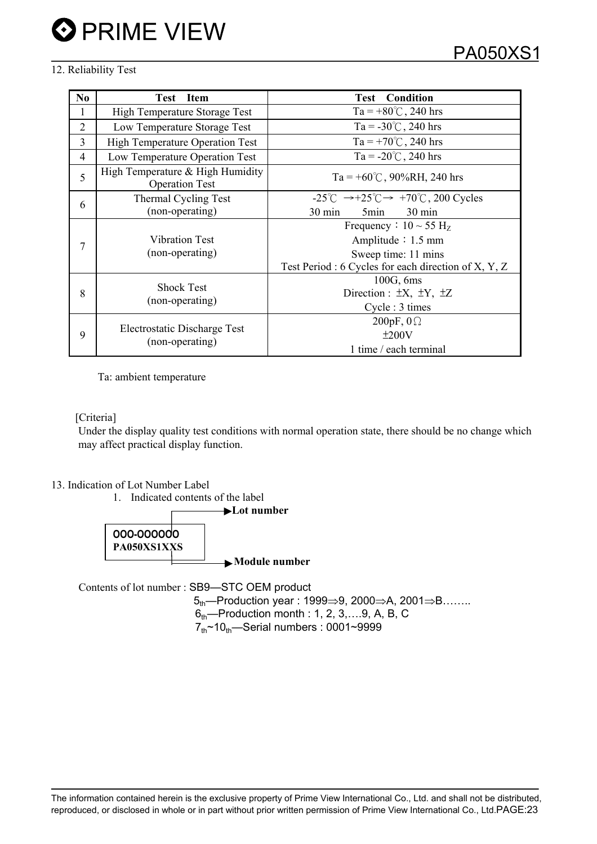#### 12. Reliability Test

| N <sub>0</sub> | <b>Item</b><br>Test                                       | <b>Test</b> Condition                                                               |  |  |
|----------------|-----------------------------------------------------------|-------------------------------------------------------------------------------------|--|--|
| 1              | High Temperature Storage Test                             | Ta = +80°C, 240 hrs                                                                 |  |  |
| 2              | Low Temperature Storage Test                              | Ta = $-30^{\circ}$ C, 240 hrs                                                       |  |  |
| 3              | <b>High Temperature Operation Test</b>                    | Ta = +70°C, 240 hrs                                                                 |  |  |
| $\overline{4}$ | Low Temperature Operation Test                            | Ta = $-20^{\circ}$ C, 240 hrs                                                       |  |  |
| 5              | High Temperature & High Humidity<br><b>Operation Test</b> | Ta = $+60^{\circ}$ C, 90%RH, 240 hrs                                                |  |  |
| 6              | Thermal Cycling Test                                      | $-25^{\circ}$ C $\rightarrow +25^{\circ}$ C $\rightarrow +70^{\circ}$ C, 200 Cycles |  |  |
|                | (non-operating)                                           | $30 \text{ min}$<br>5 <sub>min</sub><br>$30 \text{ min}$                            |  |  |
| 7              |                                                           | Frequency : $10 \sim 55$ H <sub>z</sub>                                             |  |  |
|                | <b>Vibration Test</b>                                     | Amplitude $: 1.5$ mm<br>Sweep time: 11 mins                                         |  |  |
|                | (non-operating)                                           |                                                                                     |  |  |
|                |                                                           | Test Period : 6 Cycles for each direction of X, Y, Z                                |  |  |
| 8              | <b>Shock Test</b>                                         | 100G, 6ms                                                                           |  |  |
|                | (non-operating)                                           | Direction : $\pm X$ , $\pm Y$ , $\pm Z$                                             |  |  |
|                |                                                           | Cycle : 3 times                                                                     |  |  |
| 9              |                                                           | 200pF, $0\Omega$                                                                    |  |  |
|                | Electrostatic Discharge Test                              | ±200V                                                                               |  |  |
|                | (non-operating)                                           | 1 time / each terminal                                                              |  |  |

Ta: ambient temperature

[Criteria]

Under the display quality test conditions with normal operation state, there should be no change which may affect practical display function.

13. Indication of Lot Number Label





Contents of lot number : SB9—STC OEM product

 $5<sub>th</sub>$ -Production year : 1999 $\Rightarrow$ 9, 2000 $\Rightarrow$ A, 2001 $\Rightarrow$ B……..  $6<sub>th</sub>$ -Production month : 1, 2, 3, ... 9, A, B, C  $7<sub>th</sub>$  ~10 $<sub>th</sub>$ —Serial numbers : 0001~9999</sub>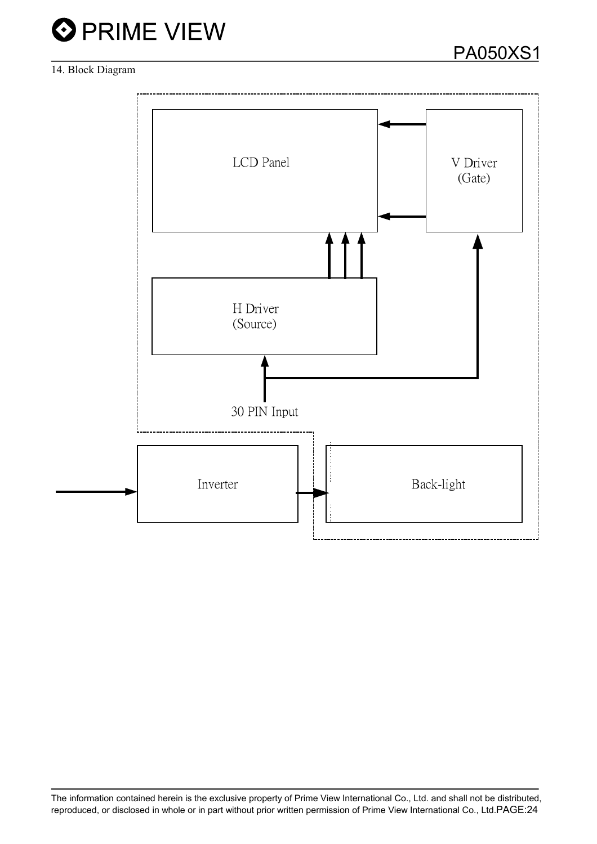

#### 14. Block Diagram

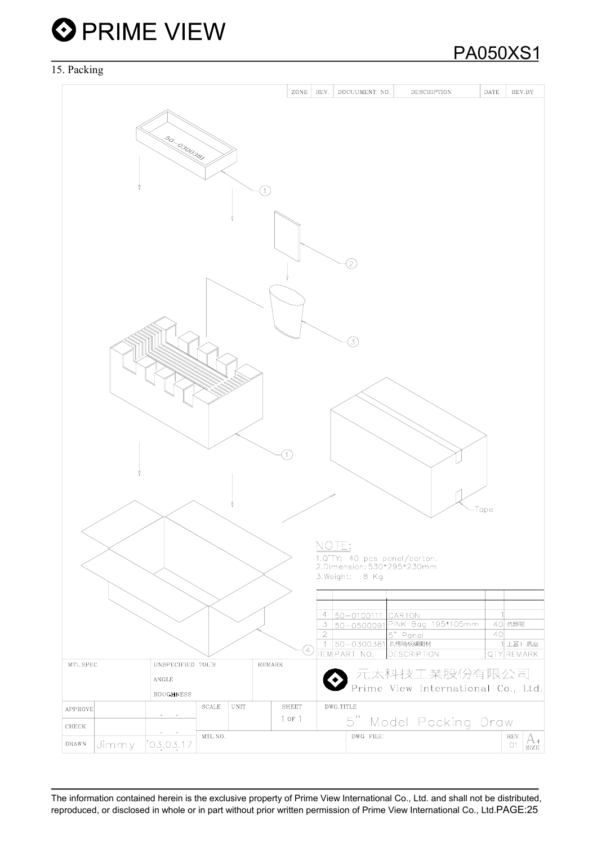#### 15. Packing

|                                                                                                               | ZONE<br>REV.<br>DOCUUMENT NO.<br><b>DESCRIPTION</b><br>DATE<br>REV.BY |
|---------------------------------------------------------------------------------------------------------------|-----------------------------------------------------------------------|
|                                                                                                               |                                                                       |
|                                                                                                               |                                                                       |
|                                                                                                               |                                                                       |
| 50-0300381                                                                                                    |                                                                       |
|                                                                                                               |                                                                       |
|                                                                                                               |                                                                       |
|                                                                                                               |                                                                       |
|                                                                                                               |                                                                       |
|                                                                                                               |                                                                       |
|                                                                                                               |                                                                       |
|                                                                                                               |                                                                       |
|                                                                                                               |                                                                       |
|                                                                                                               | D                                                                     |
|                                                                                                               |                                                                       |
|                                                                                                               |                                                                       |
|                                                                                                               |                                                                       |
|                                                                                                               |                                                                       |
|                                                                                                               | 3,                                                                    |
|                                                                                                               |                                                                       |
|                                                                                                               |                                                                       |
|                                                                                                               |                                                                       |
|                                                                                                               |                                                                       |
|                                                                                                               |                                                                       |
|                                                                                                               |                                                                       |
|                                                                                                               |                                                                       |
|                                                                                                               |                                                                       |
|                                                                                                               |                                                                       |
|                                                                                                               |                                                                       |
|                                                                                                               |                                                                       |
|                                                                                                               | -Tape                                                                 |
|                                                                                                               |                                                                       |
|                                                                                                               | NOTE:                                                                 |
|                                                                                                               |                                                                       |
|                                                                                                               | 1.Q'TY: 40 pcs panel/carton.<br>2.Dimension: 530*295*230mm            |
|                                                                                                               | 3. Weight: 8 Kg                                                       |
|                                                                                                               |                                                                       |
|                                                                                                               | $\overline{4}$<br>50-0100111 CARTON                                   |
|                                                                                                               | 3 50-0500091 PINK Bag 195*105mm<br>40 抗靜電                             |
|                                                                                                               | $\overline{2}$<br>40<br>5" Panel<br>1 50-0300381 瓦楞隔板緩衝材<br>1 上蓋+底座   |
|                                                                                                               | Ð<br><b>ITEM PART NO.</b><br><b>DESCRIPTION</b><br>QTY REMARK         |
| MTL.SPEC.<br>UNSPECIFIED TOL'S<br>REMARK                                                                      |                                                                       |
| $\operatorname{\mathsf{ANGLE}}$                                                                               | 元太科技工業股份有限公司                                                          |
| ROUGHNESS                                                                                                     | Prime View International Co., Ltd.                                    |
| <b>UNIT</b><br>$\operatorname{SCALE}$<br><b>APPROVE</b>                                                       | DWG.TITLE<br><b>SHEET</b>                                             |
| $\bullet$ .<br><br><br><br><br><br><br><br><br><br><br><br><br><br>CHECK                                      | $1$ or $1$<br>5" Model Packing Draw                                   |
| $\bullet$ .<br><br><br><br><br><br><br><br><br><br><br><br><br><br><br>MTL.NO.<br>'03.03.17<br>Jimmy<br>DRAWN | DWG FILE:<br>REV.<br>$\frac{\text{A}_4}{\text{size}}$<br>O1           |